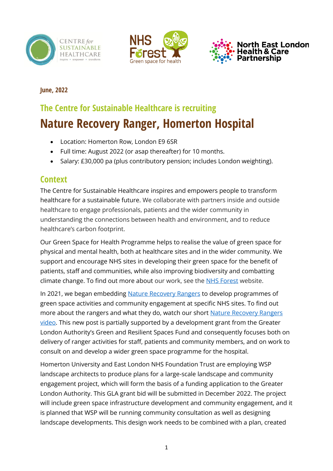





#### **June, 2022**

# **The Centre for Sustainable Healthcare is recruiting Nature Recovery Ranger, Homerton Hospital**

- Location: Homerton Row, London E9 6SR
- Full time: August 2022 (or asap thereafter) for 10 months.
- Salary: £30,000 pa (plus contributory pension; includes London weighting).

## **Context**

The Centre for Sustainable Healthcare inspires and empowers people to transform healthcare for a sustainable future. We collaborate with partners inside and outside healthcare to engage professionals, patients and the wider community in understanding the connections between health and environment, and to reduce healthcare's carbon footprint.

Our Green Space for Health Programme helps to realise the value of green space for physical and mental health, both at healthcare sites and in the wider community. We support and encourage NHS sites in developing their green space for the benefit of patients, staff and communities, while also improving biodiversity and combatting climate change. To find out more about our work, see the [NHS Forest](https://nhsforest.org/) website.

In 2021, we began embedding [Nature Recovery Rangers](https://nhsforest.org/projects/nature-recovery-rangers/) to develop programmes of green space activities and community engagement at specific NHS sites. To find out more about the rangers and what they do, watch our short [Nature Recovery Rangers](https://nhsforest.org/nature-recovery-rangers) [video.](https://nhsforest.org/nature-recovery-rangers) This new post is partially supported by a development grant from the Greater London Authority's Green and Resilient Spaces Fund and consequently focuses both on delivery of ranger activities for staff, patients and community members, and on work to consult on and develop a wider green space programme for the hospital.

Homerton University and East London NHS Foundation Trust are employing WSP landscape architects to produce plans for a large-scale landscape and community engagement project, which will form the basis of a funding application to the Greater London Authority. This GLA grant bid will be submitted in December 2022. The project will include green space infrastructure development and community engagement, and it is planned that WSP will be running community consultation as well as designing landscape developments. This design work needs to be combined with a plan, created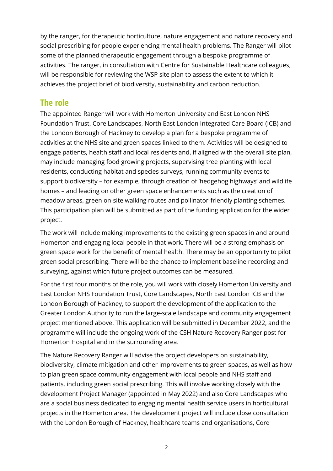by the ranger, for therapeutic horticulture, nature engagement and nature recovery and social prescribing for people experiencing mental health problems. The Ranger will pilot some of the planned therapeutic engagement through a bespoke programme of activities. The ranger, in consultation with Centre for Sustainable Healthcare colleagues, will be responsible for reviewing the WSP site plan to assess the extent to which it achieves the project brief of biodiversity, sustainability and carbon reduction.

### **The role**

The appointed Ranger will work with Homerton University and East London NHS Foundation Trust, Core Landscapes, North East London Integrated Care Board (ICB) and the London Borough of Hackney to develop a plan for a bespoke programme of activities at the NHS site and green spaces linked to them. Activities will be designed to engage patients, health staff and local residents and, if aligned with the overall site plan, may include managing food growing projects, supervising tree planting with local residents, conducting habitat and species surveys, running community events to support biodiversity – for example, through creation of 'hedgehog highways' and wildlife homes – and leading on other green space enhancements such as the creation of meadow areas, green on-site walking routes and pollinator-friendly planting schemes. This participation plan will be submitted as part of the funding application for the wider project.

The work will include making improvements to the existing green spaces in and around Homerton and engaging local people in that work. There will be a strong emphasis on green space work for the benefit of mental health. There may be an opportunity to pilot green social prescribing. There will be the chance to implement baseline recording and surveying, against which future project outcomes can be measured.

For the first four months of the role, you will work with closely Homerton University and East London NHS Foundation Trust, Core Landscapes, North East London ICB and the London Borough of Hackney, to support the development of the application to the Greater London Authority to run the large-scale landscape and community engagement project mentioned above. This application will be submitted in December 2022, and the programme will include the ongoing work of the CSH Nature Recovery Ranger post for Homerton Hospital and in the surrounding area.

The Nature Recovery Ranger will advise the project developers on sustainability, biodiversity, climate mitigation and other improvements to green spaces, as well as how to plan green space community engagement with local people and NHS staff and patients, including green social prescribing. This will involve working closely with the development Project Manager (appointed in May 2022) and also Core Landscapes who are a social business dedicated to engaging mental health service users in horticultural projects in the Homerton area. The development project will include close consultation with the London Borough of Hackney, healthcare teams and organisations, Core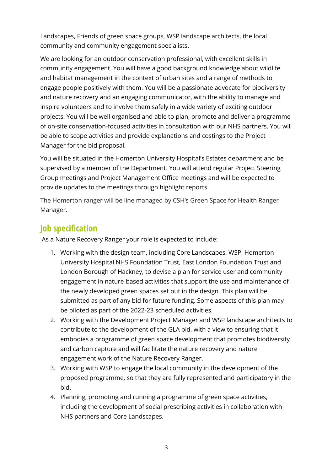Landscapes, Friends of green space groups, WSP landscape architects, the local community and community engagement specialists.

We are looking for an outdoor conservation professional, with excellent skills in community engagement. You will have a good background knowledge about wildlife and habitat management in the context of urban sites and a range of methods to engage people positively with them. You will be a passionate advocate for biodiversity and nature recovery and an engaging communicator, with the ability to manage and inspire volunteers and to involve them safely in a wide variety of exciting outdoor projects. You will be well organised and able to plan, promote and deliver a programme of on-site conservation-focused activities in consultation with our NHS partners. You will be able to scope activities and provide explanations and costings to the Project Manager for the bid proposal.

You will be situated in the Homerton University Hospital's Estates department and be supervised by a member of the Department. You will attend regular Project Steering Group meetings and Project Management Office meetings and will be expected to provide updates to the meetings through highlight reports.

The Homerton ranger will be line managed by CSH's Green Space for Health Ranger Manager.

## **Job specification**

As a Nature Recovery Ranger your role is expected to include:

- 1. Working with the design team, including Core Landscapes, WSP, Homerton University Hospital NHS Foundation Trust, East London Foundation Trust and London Borough of Hackney, to devise a plan for service user and community engagement in nature-based activities that support the use and maintenance of the newly developed green spaces set out in the design. This plan will be submitted as part of any bid for future funding. Some aspects of this plan may be piloted as part of the 2022-23 scheduled activities.
- 2. Working with the Development Project Manager and WSP landscape architects to contribute to the development of the GLA bid, with a view to ensuring that it embodies a programme of green space development that promotes biodiversity and carbon capture and will facilitate the nature recovery and nature engagement work of the Nature Recovery Ranger.
- 3. Working with WSP to engage the local community in the development of the proposed programme, so that they are fully represented and participatory in the bid.
- 4. Planning, promoting and running a programme of green space activities, including the development of social prescribing activities in collaboration with NHS partners and Core Landscapes.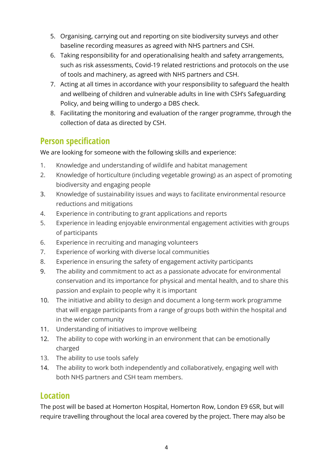- 5. Organising, carrying out and reporting on site biodiversity surveys and other baseline recording measures as agreed with NHS partners and CSH.
- 6. Taking responsibility for and operationalising health and safety arrangements, such as risk assessments, Covid-19 related restrictions and protocols on the use of tools and machinery, as agreed with NHS partners and CSH.
- 7. Acting at all times in accordance with your responsibility to safeguard the health and wellbeing of children and vulnerable adults in line with CSH's Safeguarding Policy, and being willing to undergo a DBS check.
- 8. Facilitating the monitoring and evaluation of the ranger programme, through the collection of data as directed by CSH.

## **Person specification**

We are looking for someone with the following skills and experience:

- 1. Knowledge and understanding of wildlife and habitat management
- 2. Knowledge of horticulture (including vegetable growing) as an aspect of promoting biodiversity and engaging people
- 3. Knowledge of sustainability issues and ways to facilitate environmental resource reductions and mitigations
- 4. Experience in contributing to grant applications and reports
- 5. Experience in leading enjoyable environmental engagement activities with groups of participants
- 6. Experience in recruiting and managing volunteers
- 7. Experience of working with diverse local communities
- 8. Experience in ensuring the safety of engagement activity participants
- 9. The ability and commitment to act as a passionate advocate for environmental conservation and its importance for physical and mental health, and to share this passion and explain to people why it is important
- 10. The initiative and ability to design and document a long-term work programme that will engage participants from a range of groups both within the hospital and in the wider community
- 11. Understanding of initiatives to improve wellbeing
- 12. The ability to cope with working in an environment that can be emotionally charged
- 13. The ability to use tools safely
- 14. The ability to work both independently and collaboratively, engaging well with both NHS partners and CSH team members.

## **Location**

The post will be based at Homerton Hospital, Homerton Row, London E9 6SR, but will require travelling throughout the local area covered by the project. There may also be